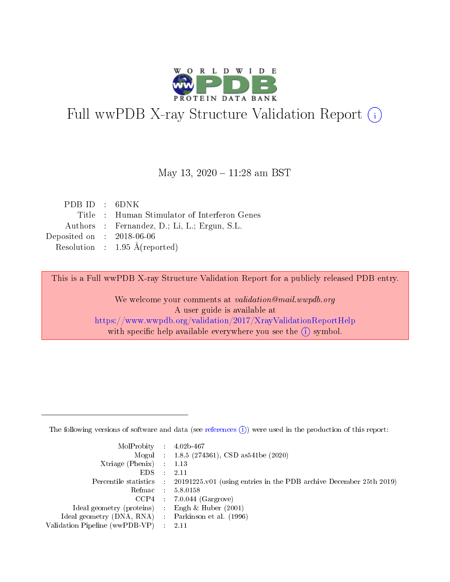

# Full wwPDB X-ray Structure Validation Report (i)

#### May 13, 2020 - 11:28 am BST

| PDBID : 6DNK                |                                              |
|-----------------------------|----------------------------------------------|
|                             | Title: Human Stimulator of Interferon Genes  |
|                             | Authors : Fernandez, D.; Li, L.; Ergun, S.L. |
| Deposited on : $2018-06-06$ |                                              |
|                             | Resolution : $1.95 \text{ Å}$ (reported)     |

This is a Full wwPDB X-ray Structure Validation Report for a publicly released PDB entry.

We welcome your comments at validation@mail.wwpdb.org A user guide is available at <https://www.wwpdb.org/validation/2017/XrayValidationReportHelp> with specific help available everywhere you see the  $(i)$  symbol.

The following versions of software and data (see [references](https://www.wwpdb.org/validation/2017/XrayValidationReportHelp#references)  $(1)$ ) were used in the production of this report:

| $MolProbability$ : 4.02b-467                        |                                                                                              |
|-----------------------------------------------------|----------------------------------------------------------------------------------------------|
|                                                     | Mogul : 1.8.5 (274361), CSD as 541 be (2020)                                                 |
| Xtriage (Phenix) $: 1.13$                           |                                                                                              |
| $EDS$ :                                             | -2.11                                                                                        |
|                                                     | Percentile statistics : $20191225.v01$ (using entries in the PDB archive December 25th 2019) |
| Refmac : 5.8.0158                                   |                                                                                              |
|                                                     | $CCP4$ : 7.0.044 (Gargrove)                                                                  |
| Ideal geometry (proteins) :                         | Engh $\&$ Huber (2001)                                                                       |
| Ideal geometry (DNA, RNA) : Parkinson et al. (1996) |                                                                                              |
| Validation Pipeline (wwPDB-VP) : 2.11               |                                                                                              |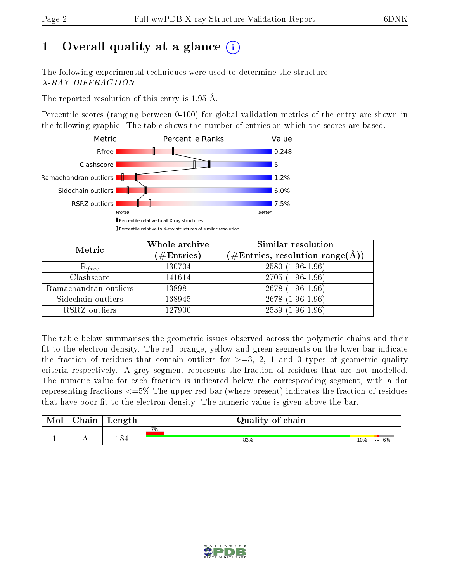# 1 [O](https://www.wwpdb.org/validation/2017/XrayValidationReportHelp#overall_quality)verall quality at a glance  $(i)$

The following experimental techniques were used to determine the structure: X-RAY DIFFRACTION

The reported resolution of this entry is 1.95 Å.

Percentile scores (ranging between 0-100) for global validation metrics of the entry are shown in the following graphic. The table shows the number of entries on which the scores are based.



| Metric                | Whole archive<br>$(\#\mathrm{Entries})$ | Similar resolution<br>$(\#\text{Entries}, \text{resolution range}(\textup{\AA}))$ |  |  |
|-----------------------|-----------------------------------------|-----------------------------------------------------------------------------------|--|--|
| $R_{free}$            | 130704                                  | $2580(1.96-1.96)$                                                                 |  |  |
| Clashscore            | 141614                                  | $2705(1.96-1.96)$                                                                 |  |  |
| Ramachandran outliers | 138981                                  | $2678(1.96-1.96)$                                                                 |  |  |
| Sidechain outliers    | 138945                                  | $2678(1.96-1.96)$                                                                 |  |  |
| RSRZ outliers         | 127900                                  | $2539(1.96-1.96)$                                                                 |  |  |

The table below summarises the geometric issues observed across the polymeric chains and their fit to the electron density. The red, orange, yellow and green segments on the lower bar indicate the fraction of residues that contain outliers for  $>=3, 2, 1$  and 0 types of geometric quality criteria respectively. A grey segment represents the fraction of residues that are not modelled. The numeric value for each fraction is indicated below the corresponding segment, with a dot representing fractions <=5% The upper red bar (where present) indicates the fraction of residues that have poor fit to the electron density. The numeric value is given above the bar.

| Mol | $\cap$ hain | Length | Quality of chain |                            |
|-----|-------------|--------|------------------|----------------------------|
|     |             |        | 7%               |                            |
|     |             | 184    | 83%              | 10%<br>6%<br>$\cdot \cdot$ |

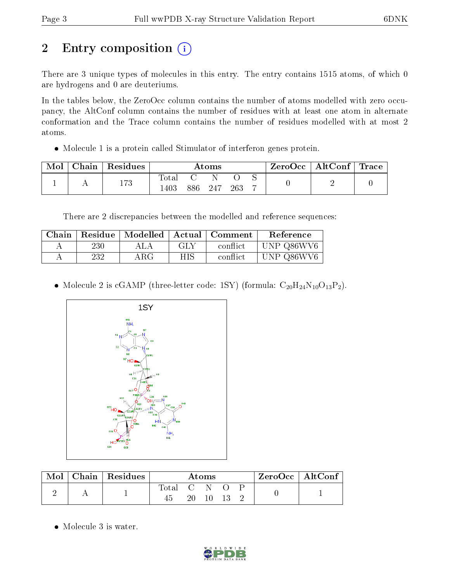# 2 Entry composition  $\left( \cdot \right)$

There are 3 unique types of molecules in this entry. The entry contains 1515 atoms, of which 0 are hydrogens and 0 are deuteriums.

In the tables below, the ZeroOcc column contains the number of atoms modelled with zero occupancy, the AltConf column contains the number of residues with at least one atom in alternate conformation and the Trace column contains the number of residues modelled with at most 2 atoms.

Molecule 1 is a protein called Stimulator of interferon genes protein.

| Mol | $\cap$ hain | $\,$ Residues | $\rm\bf Atoms$ |     |     |     |   | $\text{ZeroOcc}$   AltConf   Trace |  |
|-----|-------------|---------------|----------------|-----|-----|-----|---|------------------------------------|--|
|     |             | 173           | ota.<br>403    | 386 | 247 | 263 | − |                                    |  |

There are 2 discrepancies between the modelled and reference sequences:

| Chain |     | Residue   Modelled   Actual   Comment |     |          | Reference  |
|-------|-----|---------------------------------------|-----|----------|------------|
| A     | 230 | A LA                                  | GLY | conflict | UNP Q86WV6 |
|       | 232 | ${\rm ARG}$                           | НIS | conflict | UNP Q86WV6 |

• Molecule 2 is cGAMP (three-letter code: 1SY) (formula:  $C_{20}H_{24}N_{10}O_{13}P_2$ ).



| Mol |  | Chain   Residues | $\rm{Atoms}$ |              |  |  | $ZeroOcc \mid AltConf \mid$ |  |  |
|-----|--|------------------|--------------|--------------|--|--|-----------------------------|--|--|
|     |  |                  | $\rm Total$  | $\mathbf{C}$ |  |  |                             |  |  |
|     |  |                  | 20-          |              |  |  |                             |  |  |

• Molecule 3 is water.

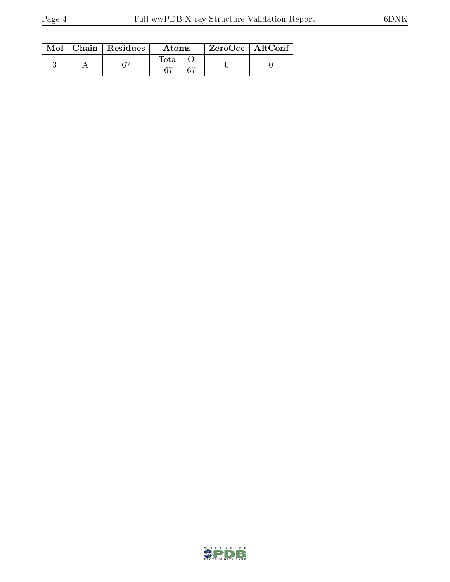|  | $\text{Mol}$   Chain   Residues | Atoms | $ZeroOcc$   AltConf |
|--|---------------------------------|-------|---------------------|
|  | -67                             | Total |                     |

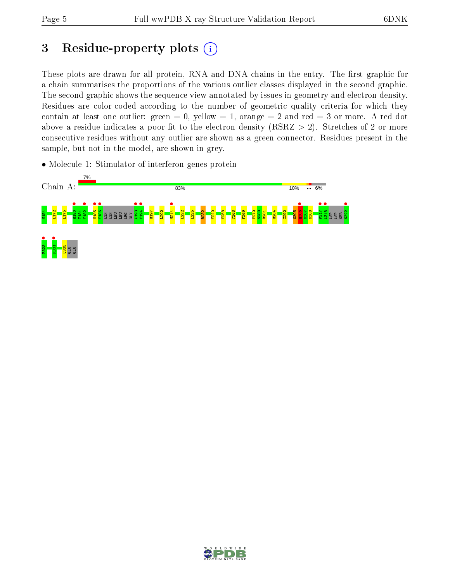# 3 Residue-property plots  $(i)$

These plots are drawn for all protein, RNA and DNA chains in the entry. The first graphic for a chain summarises the proportions of the various outlier classes displayed in the second graphic. The second graphic shows the sequence view annotated by issues in geometry and electron density. Residues are color-coded according to the number of geometric quality criteria for which they contain at least one outlier: green  $= 0$ , yellow  $= 1$ , orange  $= 2$  and red  $= 3$  or more. A red dot above a residue indicates a poor fit to the electron density (RSRZ  $> 2$ ). Stretches of 2 or more consecutive residues without any outlier are shown as a green connector. Residues present in the sample, but not in the model, are shown in grey.

• Molecule 1: Stimulator of interferon genes protein



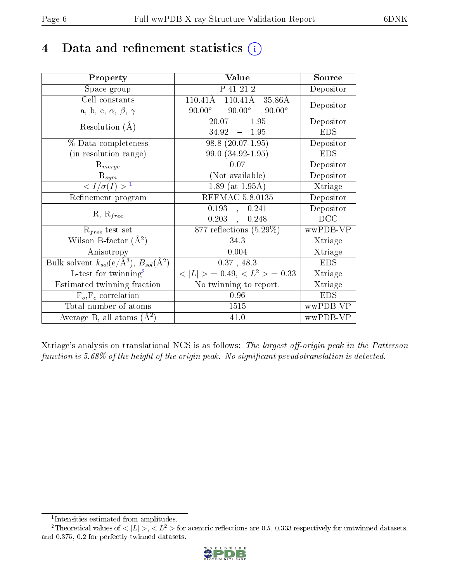## 4 Data and refinement statistics  $(i)$

| Property                                                         | Value                                              | Source     |
|------------------------------------------------------------------|----------------------------------------------------|------------|
| Space group                                                      | P 41 21 2                                          | Depositor  |
| Cell constants                                                   | $110.41\text{\AA}$<br>$110.41\text{\AA}$<br>35.86Å | Depositor  |
| a, b, c, $\alpha$ , $\beta$ , $\gamma$                           | $90.00^\circ$<br>$90.00^\circ$<br>$90.00^\circ$    |            |
| Resolution $(A)$                                                 | $20.07 - 1.95$                                     | Depositor  |
|                                                                  | $34.92 - 1.95$                                     | <b>EDS</b> |
| % Data completeness                                              | $98.8(20.07-1.95)$                                 | Depositor  |
| (in resolution range)                                            | 99.0 (34.92-1.95)                                  | <b>EDS</b> |
| $R_{merge}$                                                      | 0.07                                               | Depositor  |
| $\mathrm{R}_{sym}$                                               | (Not available)                                    | Depositor  |
| $\langle I/\sigma(I) \rangle^{-1}$                               | $1.89$ (at $1.95\text{\AA}$ )                      | Xtriage    |
| Refinement program                                               | <b>REFMAC 5.8.0135</b>                             | Depositor  |
|                                                                  | 0.193,<br>0.241                                    | Depositor  |
| $R, R_{free}$                                                    | $0.203$ ,<br>0.248                                 | DCC        |
| $R_{free}$ test set                                              | 877 reflections $(5.29\%)$                         | wwPDB-VP   |
| Wilson B-factor $(A^2)$                                          | 34.3                                               | Xtriage    |
| Anisotropy                                                       | 0.004                                              | Xtriage    |
| Bulk solvent $k_{sol}(\text{e}/\text{A}^3), B_{sol}(\text{A}^2)$ | 0.37, 48.3                                         | <b>EDS</b> |
| L-test for $\mathrm{twinning}^2$                                 | $< L >$ = 0.49, $< L2$ = 0.33                      | Xtriage    |
| Estimated twinning fraction                                      | No twinning to report.                             | Xtriage    |
| $F_o, F_c$ correlation                                           | 0.96                                               | <b>EDS</b> |
| Total number of atoms                                            | 1515                                               | wwPDB-VP   |
| Average B, all atoms $(A^2)$                                     | 41.0                                               | wwPDB-VP   |

Xtriage's analysis on translational NCS is as follows: The largest off-origin peak in the Patterson function is  $5.68\%$  of the height of the origin peak. No significant pseudotranslation is detected.

<sup>&</sup>lt;sup>2</sup>Theoretical values of  $\langle |L| \rangle$ ,  $\langle L^2 \rangle$  for acentric reflections are 0.5, 0.333 respectively for untwinned datasets, and 0.375, 0.2 for perfectly twinned datasets.



<span id="page-5-1"></span><span id="page-5-0"></span><sup>1</sup> Intensities estimated from amplitudes.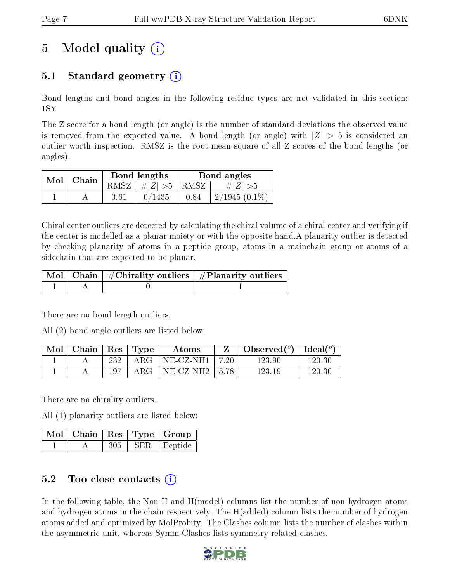# 5 Model quality  $(i)$

## 5.1 Standard geometry (i)

Bond lengths and bond angles in the following residue types are not validated in this section: 1SY

The Z score for a bond length (or angle) is the number of standard deviations the observed value is removed from the expected value. A bond length (or angle) with  $|Z| > 5$  is considered an outlier worth inspection. RMSZ is the root-mean-square of all Z scores of the bond lengths (or angles).

|  | $Mol$   Chain |      | Bond lengths                            | Bond angles |                 |  |
|--|---------------|------|-----------------------------------------|-------------|-----------------|--|
|  |               |      | RMSZ $\mid \#  Z  > 5 \mid$ RMSZ $\mid$ |             | $\# Z  > 5$     |  |
|  |               | 0.61 | 0/1435                                  | 0.84        | $2/1945(0.1\%)$ |  |

Chiral center outliers are detected by calculating the chiral volume of a chiral center and verifying if the center is modelled as a planar moiety or with the opposite hand.A planarity outlier is detected by checking planarity of atoms in a peptide group, atoms in a mainchain group or atoms of a sidechain that are expected to be planar.

|  | $\mid$ Mol $\mid$ Chain $\mid$ #Chirality outliers $\mid$ #Planarity outliers $\mid$ |
|--|--------------------------------------------------------------------------------------|
|  |                                                                                      |

There are no bond length outliers.

All (2) bond angle outliers are listed below:

| $\operatorname{Mol}$ | $\,$ Chain $\,$ | $\vert$ Res $\vert$ | $\vert$ Type | Atoms                    |        | Observed $(°)$ | Ideal $(°)$ |
|----------------------|-----------------|---------------------|--------------|--------------------------|--------|----------------|-------------|
|                      |                 | 232                 | ARG          | $NE$ $CZ$ -NH1           | - 7.20 | 123.90         | 120.30      |
|                      |                 | 197                 | $\rm{ARG}$   | $NE$ -CZ-NH2 $\parallel$ | 5.78   | 123.19         | 120.30      |

There are no chirality outliers.

All (1) planarity outliers are listed below:

|  |     |      | $\sqrt{\text{Mol}}$   Chain   Res   Type   Group |
|--|-----|------|--------------------------------------------------|
|  | 305 | SER. | Peptide                                          |

### 5.2 Too-close contacts (i)

In the following table, the Non-H and H(model) columns list the number of non-hydrogen atoms and hydrogen atoms in the chain respectively. The H(added) column lists the number of hydrogen atoms added and optimized by MolProbity. The Clashes column lists the number of clashes within the asymmetric unit, whereas Symm-Clashes lists symmetry related clashes.

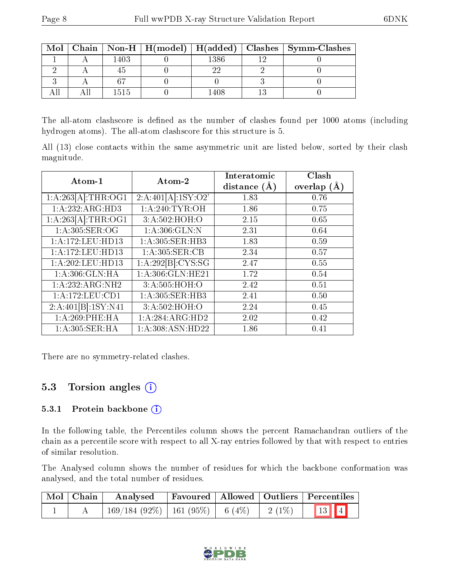| Mol |      |      | Chain   Non-H   H(model)   H(added)   Clashes   Symm-Clashes |
|-----|------|------|--------------------------------------------------------------|
|     | 1403 | 1386 |                                                              |
|     |      |      |                                                              |
|     |      |      |                                                              |
|     | 1515 |      |                                                              |

The all-atom clashscore is defined as the number of clashes found per 1000 atoms (including hydrogen atoms). The all-atom clashscore for this structure is 5.

All (13) close contacts within the same asymmetric unit are listed below, sorted by their clash magnitude.

| Atom-1              | Atom-2              | Interatomic      | $\overline{\text{Clash}}$ |
|---------------------|---------------------|------------------|---------------------------|
|                     |                     | distance $(\AA)$ | overlap $(A)$             |
| 1:A:263[A]:THR:OG1  | 2:A:401[A]:1SY:O2'  | 1.83             | 0.76                      |
| 1: A: 232: ARG: HD3 | 1: A:240:TYR:OH     | 1.86             | 0.75                      |
| 1:A:263[A]:THR:OG1  | 3:A:502:HOH:O       | 2.15             | 0.65                      |
| 1:A:305:SER:OG      | 1: A:306: GLN:N     | 2.31             | 0.64                      |
| 1:A:172:LEU:HD13    | 1:A:305:SER:HB3     | 1.83             | 0.59                      |
| 1: A:172: LEU: HD13 | 1: A:305: SER:CB    | 2.34             | 0.57                      |
| 1: A:202:LEU:HD13   | 1:A:292[B]:CYS:SG   | 2.47             | 0.55                      |
| 1: A:306: GLN: HA   | 1: A:306: GLN: HE21 | 1.72             | 0.54                      |
| 1:A:232:ARG:NH2     | 3:A:505:HOH:O       | 2.42             | 0.51                      |
| 1:A:172:LEU:CD1     | 1:A:305:SER:HB3     | 2.41             | 0.50                      |
| 2:A:401[B]:1SY:N41  | 3:A:502:HOH:O       | 2.24             | 0.45                      |
| 1: A:269:PHE:HA     | 1:A:284:ARG:HD2     | 2.02             | 0.42                      |
| 1:A:305:SER:HA      | 1:A:308:ASN:HD22    | 1.86             | 0.41                      |

There are no symmetry-related clashes.

### 5.3 Torsion angles  $(i)$

#### 5.3.1 Protein backbone (i)

In the following table, the Percentiles column shows the percent Ramachandran outliers of the chain as a percentile score with respect to all X-ray entries followed by that with respect to entries of similar resolution.

The Analysed column shows the number of residues for which the backbone conformation was analysed, and the total number of residues.

| $\mid$ Mol $\mid$ Chain $\mid$ | Analysed                                |  |          | Favoured   Allowed   Outliers   Percentiles |
|--------------------------------|-----------------------------------------|--|----------|---------------------------------------------|
|                                | $169/184$ (92\%)   161 (95\%)   6 (4\%) |  | $2(1\%)$ | 13 4                                        |

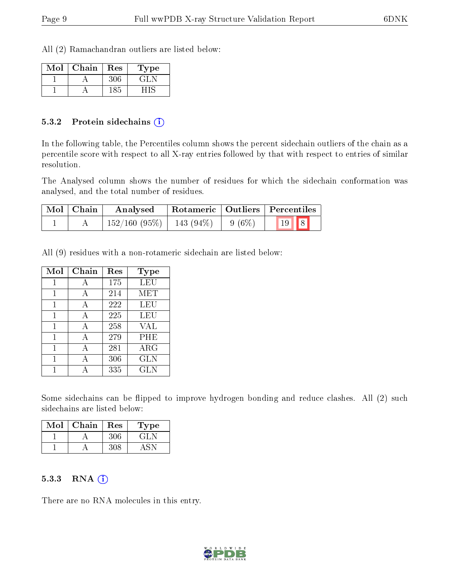All (2) Ramachandran outliers are listed below:

| Mol | Chain | Res | Type    |
|-----|-------|-----|---------|
|     |       | 306 | $\pm 1$ |
|     |       | 185 |         |

#### 5.3.2 Protein sidechains  $\left( \widehat{\mathbf{i}} \right)$

In the following table, the Percentiles column shows the percent sidechain outliers of the chain as a percentile score with respect to all X-ray entries followed by that with respect to entries of similar resolution.

The Analysed column shows the number of residues for which the sidechain conformation was analysed, and the total number of residues.

| $\mid$ Mol $\mid$ Chain $\mid$ | Analysed     | Rotameric   Outliers   Percentiles |  |      |  |
|--------------------------------|--------------|------------------------------------|--|------|--|
|                                | 152/160(95%) | 143 (94%)   9 (6%)                 |  | 19 8 |  |

All (9) residues with a non-rotameric sidechain are listed below:

| Mol          | Chain | Res | Type       |
|--------------|-------|-----|------------|
| 1            | A     | 175 | LEU        |
| 1            |       | 214 | MET        |
| $\mathbf{1}$ | A     | 222 | LEU        |
| 1            | A     | 225 | LEU        |
| 1            | A     | 258 | VAL        |
| 1            | А     | 279 | PHE        |
| 1            | А     | 281 | $\rm{ARG}$ |
| 1            | А     | 306 | GLN        |
|              |       | 335 | <b>GLN</b> |

Some sidechains can be flipped to improve hydrogen bonding and reduce clashes. All (2) such sidechains are listed below:

| Mol | ${\rm Chain}$ | Res | 1 ype |
|-----|---------------|-----|-------|
|     |               |     |       |
|     |               |     |       |

#### $5.3.3$  RNA  $(i)$

There are no RNA molecules in this entry.

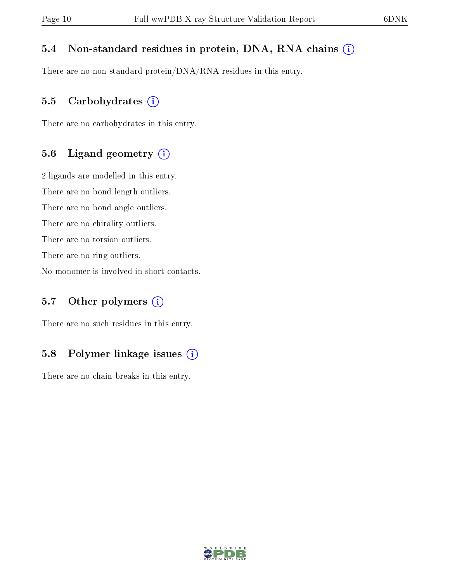#### 5.4 Non-standard residues in protein, DNA, RNA chains (i)

There are no non-standard protein/DNA/RNA residues in this entry.

#### 5.5 Carbohydrates  $(i)$

There are no carbohydrates in this entry.

#### 5.6 Ligand geometry (i)

2 ligands are modelled in this entry. There are no bond length outliers. There are no bond angle outliers. There are no chirality outliers. There are no torsion outliers. There are no ring outliers. No monomer is involved in short contacts.

### 5.7 [O](https://www.wwpdb.org/validation/2017/XrayValidationReportHelp#nonstandard_residues_and_ligands)ther polymers  $(i)$

There are no such residues in this entry.

### 5.8 Polymer linkage issues  $(i)$

There are no chain breaks in this entry.

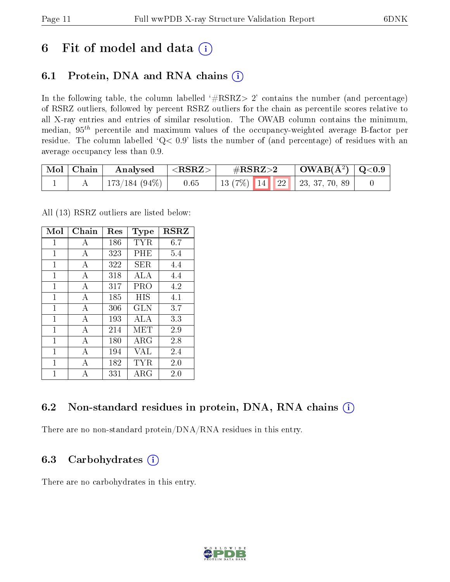## 6 Fit of model and data  $(i)$

### 6.1 Protein, DNA and RNA chains  $(i)$

In the following table, the column labelled  $#RSRZ> 2'$  contains the number (and percentage) of RSRZ outliers, followed by percent RSRZ outliers for the chain as percentile scores relative to all X-ray entries and entries of similar resolution. The OWAB column contains the minimum, median,  $95<sup>th</sup>$  percentile and maximum values of the occupancy-weighted average B-factor per residue. The column labelled  $Q< 0.9$  lists the number of (and percentage) of residues with an average occupancy less than 0.9.

| Mol   Chain | Analysed         | $<$ RSRZ $>$ | $\rm \#RSRZ{>}2$                      | $\mid$ OWAB(Å <sup>2</sup> ) $\mid$ Q<0.9 |  |
|-------------|------------------|--------------|---------------------------------------|-------------------------------------------|--|
|             | 173/184 $(94\%)$ | 0.65         | 13 $(7\%)$   14   22   23, 37, 70, 89 |                                           |  |

All (13) RSRZ outliers are listed below:

| Mol | Chain          | $\operatorname{Res}% \left( \mathcal{N}\right) \equiv\operatorname{Res}(\mathcal{N}_{0},\mathcal{N}_{0})$ | Type        | $_{\rm RSRZ}$ |
|-----|----------------|-----------------------------------------------------------------------------------------------------------|-------------|---------------|
| 1   | A              | 186                                                                                                       | TYR         | 6.7           |
| 1   | A              | 323                                                                                                       | PHE         | $5.4\,$       |
| 1   | A              | 322                                                                                                       | SER.        | 4.4           |
| 1   | $\overline{A}$ | 318                                                                                                       | ALA         | 4.4           |
| 1   | A              | 317                                                                                                       | PRO         | 4.2           |
| 1   | A              | 185                                                                                                       | HIS         | 4.1           |
| 1   | A              | 306                                                                                                       | <b>GLN</b>  | 3.7           |
| 1   | $\mathbf{A}$   | 193                                                                                                       | ALA         | 3.3           |
| 1   | $\overline{A}$ | 214                                                                                                       | MET         | 2.9           |
| 1   | A              | 180                                                                                                       | ARG         | 2.8           |
| 1   | A              | 194                                                                                                       | VAL         | 2.4           |
| 1   | A              | 182                                                                                                       | TYR.        | 2.0           |
| 1   | А              | 331                                                                                                       | ${\rm ARG}$ | $2.0\,$       |

### 6.2 Non-standard residues in protein, DNA, RNA chains (i)

There are no non-standard protein/DNA/RNA residues in this entry.

### 6.3 Carbohydrates (i)

There are no carbohydrates in this entry.